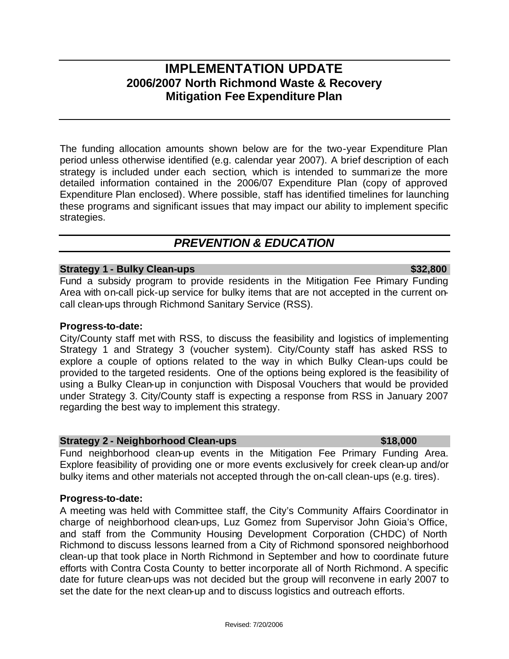# **IMPLEMENTATION UPDATE 2006/2007 North Richmond Waste & Recovery Mitigation Fee Expenditure Plan**

The funding allocation amounts shown below are for the two-year Expenditure Plan period unless otherwise identified (e.g. calendar year 2007). A brief description of each strategy is included under each section, which is intended to summari ze the more detailed information contained in the 2006/07 Expenditure Plan (copy of approved Expenditure Plan enclosed). Where possible, staff has identified timelines for launching these programs and significant issues that may impact our ability to implement specific strategies.

# *PREVENTION & EDUCATION*

# **Strategy 1 - Bulky Clean-ups \$32,800**

Fund a subsidy program to provide residents in the Mitigation Fee Primary Funding Area with on-call pick-up service for bulky items that are not accepted in the current oncall clean-ups through Richmond Sanitary Service (RSS).

# **Progress-to-date:**

City/County staff met with RSS, to discuss the feasibility and logistics of implementing Strategy 1 and Strategy 3 (voucher system). City/County staff has asked RSS to explore a couple of options related to the way in which Bulky Clean-ups could be provided to the targeted residents. One of the options being explored is the feasibility of using a Bulky Clean-up in conjunction with Disposal Vouchers that would be provided under Strategy 3. City/County staff is expecting a response from RSS in January 2007 regarding the best way to implement this strategy.

### **Strategy 2 - Neighborhood Clean-ups \$18,000**

Fund neighborhood clean-up events in the Mitigation Fee Primary Funding Area. Explore feasibility of providing one or more events exclusively for creek clean-up and/or bulky items and other materials not accepted through the on-call clean-ups (e.g. tires).

# **Progress-to-date:**

A meeting was held with Committee staff, the City's Community Affairs Coordinator in charge of neighborhood clean-ups, Luz Gomez from Supervisor John Gioia's Office, and staff from the Community Housing Development Corporation (CHDC) of North Richmond to discuss lessons learned from a City of Richmond sponsored neighborhood clean-up that took place in North Richmond in September and how to coordinate future efforts with Contra Costa County to better incorporate all of North Richmond. A specific date for future clean-ups was not decided but the group will reconvene in early 2007 to set the date for the next clean-up and to discuss logistics and outreach efforts.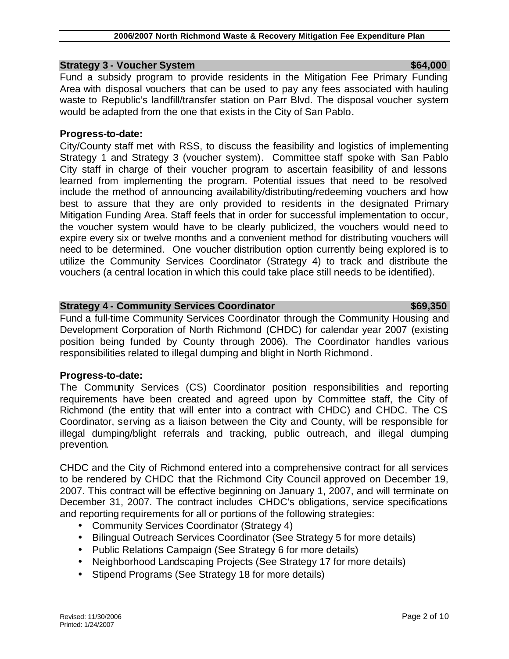### **Strategy 3 - Voucher System \$64,000 \$64,000 \$64,000**

Fund a subsidy program to provide residents in the Mitigation Fee Primary Funding Area with disposal vouchers that can be used to pay any fees associated with hauling waste to Republic's landfill/transfer station on Parr Blvd. The disposal voucher system would be adapted from the one that exists in the City of San Pablo.

# **Progress-to-date:**

City/County staff met with RSS, to discuss the feasibility and logistics of implementing Strategy 1 and Strategy 3 (voucher system). Committee staff spoke with San Pablo City staff in charge of their voucher program to ascertain feasibility of and lessons learned from implementing the program. Potential issues that need to be resolved include the method of announcing availability/distributing/redeeming vouchers and how best to assure that they are only provided to residents in the designated Primary Mitigation Funding Area. Staff feels that in order for successful implementation to occur, the voucher system would have to be clearly publicized, the vouchers would need to expire every six or twelve months and a convenient method for distributing vouchers will need to be determined. One voucher distribution option currently being explored is to utilize the Community Services Coordinator (Strategy 4) to track and distribute the vouchers (a central location in which this could take place still needs to be identified).

# **Strategy 4 - Community Services Coordinator**  $$69,350$

Fund a full-time Community Services Coordinator through the Community Housing and Development Corporation of North Richmond (CHDC) for calendar year 2007 (existing position being funded by County through 2006). The Coordinator handles various responsibilities related to illegal dumping and blight in North Richmond.

### **Progress-to-date:**

The Community Services (CS) Coordinator position responsibilities and reporting requirements have been created and agreed upon by Committee staff, the City of Richmond (the entity that will enter into a contract with CHDC) and CHDC. The CS Coordinator, serving as a liaison between the City and County, will be responsible for illegal dumping/blight referrals and tracking, public outreach, and illegal dumping prevention.

CHDC and the City of Richmond entered into a comprehensive contract for all services to be rendered by CHDC that the Richmond City Council approved on December 19, 2007. This contract will be effective beginning on January 1, 2007, and will terminate on December 31, 2007. The contract includes CHDC's obligations, service specifications and reporting requirements for all or portions of the following strategies:

- Community Services Coordinator (Strategy 4)
- Bilingual Outreach Services Coordinator (See Strategy 5 for more details)
- Public Relations Campaign (See Strategy 6 for more details)
- Neighborhood Landscaping Projects (See Strategy 17 for more details)
- Stipend Programs (See Strategy 18 for more details)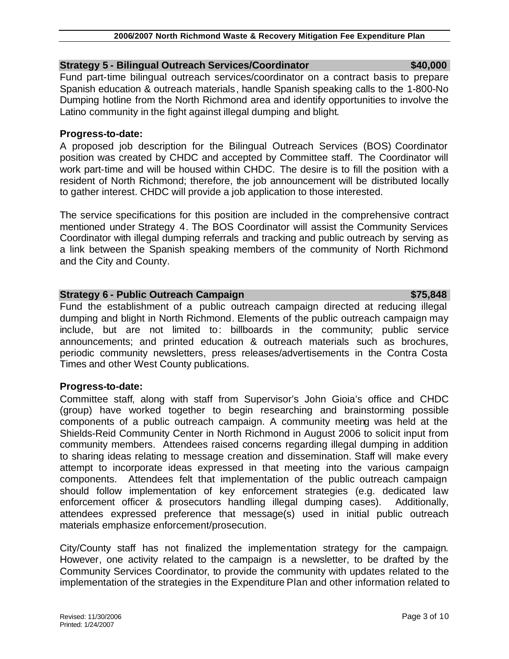# **Strategy 5 - Bilingual Outreach Services/Coordinator \$40,000**

Fund part-time bilingual outreach services/coordinator on a contract basis to prepare Spanish education & outreach materials, handle Spanish speaking calls to the 1-800-No Dumping hotline from the North Richmond area and identify opportunities to involve the Latino community in the fight against illegal dumping and blight.

### **Progress-to-date:**

A proposed job description for the Bilingual Outreach Services (BOS) Coordinator position was created by CHDC and accepted by Committee staff. The Coordinator will work part-time and will be housed within CHDC. The desire is to fill the position with a resident of North Richmond; therefore, the job announcement will be distributed locally to gather interest. CHDC will provide a job application to those interested.

The service specifications for this position are included in the comprehensive contract mentioned under Strategy 4. The BOS Coordinator will assist the Community Services Coordinator with illegal dumping referrals and tracking and public outreach by serving as a link between the Spanish speaking members of the community of North Richmond and the City and County.

# **Strategy 6 - Public Outreach Campaign**  $\frac{1}{2}$  **and**  $\frac{1}{2}$  **and**  $\frac{1}{2}$  **and**  $\frac{1}{2}$  **and**  $\frac{1}{2}$  **and**  $\frac{1}{2}$  **and**  $\frac{1}{2}$  **and**  $\frac{1}{2}$  **and**  $\frac{1}{2}$  **and**  $\frac{1}{2}$  **and**  $\frac{1}{2}$  **and**  $\frac{1}{2}$  **and**  $\frac{1}{2}$  **and**

Fund the establishment of a public outreach campaign directed at reducing illegal dumping and blight in North Richmond. Elements of the public outreach campaign may include, but are not limited to: billboards in the community; public service announcements; and printed education & outreach materials such as brochures, periodic community newsletters, press releases/advertisements in the Contra Costa Times and other West County publications.

# **Progress-to-date:**

Committee staff, along with staff from Supervisor's John Gioia's office and CHDC (group) have worked together to begin researching and brainstorming possible components of a public outreach campaign. A community meeting was held at the Shields-Reid Community Center in North Richmond in August 2006 to solicit input from community members. Attendees raised concerns regarding illegal dumping in addition to sharing ideas relating to message creation and dissemination. Staff will make every attempt to incorporate ideas expressed in that meeting into the various campaign components. Attendees felt that implementation of the public outreach campaign should follow implementation of key enforcement strategies (e.g. dedicated law enforcement officer & prosecutors handling illegal dumping cases). Additionally, attendees expressed preference that message(s) used in initial public outreach materials emphasize enforcement/prosecution.

City/County staff has not finalized the implementation strategy for the campaign. However, one activity related to the campaign is a newsletter, to be drafted by the Community Services Coordinator, to provide the community with updates related to the implementation of the strategies in the Expenditure Plan and other information related to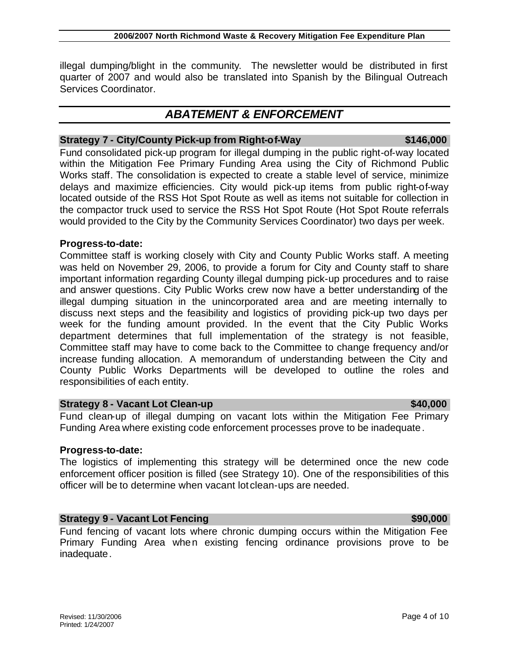Printed: 1/24/2007

# **2006/2007 North Richmond Waste & Recovery Mitigation Fee Expenditure Plan**

illegal dumping/blight in the community. The newsletter would be distributed in first quarter of 2007 and would also be translated into Spanish by the Bilingual Outreach Services Coordinator.

# *ABATEMENT & ENFORCEMENT*

# **Strategy 7 - City/County Pick-up from Right-of-Way 6146,000 \$146,000**

Fund consolidated pick-up program for illegal dumping in the public right-of-way located within the Mitigation Fee Primary Funding Area using the City of Richmond Public Works staff. The consolidation is expected to create a stable level of service, minimize delays and maximize efficiencies. City would pick-up items from public right-of-way located outside of the RSS Hot Spot Route as well as items not suitable for collection in the compactor truck used to service the RSS Hot Spot Route (Hot Spot Route referrals would provided to the City by the Community Services Coordinator) two days per week.

# **Progress-to-date:**

Committee staff is working closely with City and County Public Works staff. A meeting was held on November 29, 2006, to provide a forum for City and County staff to share important information regarding County illegal dumping pick-up procedures and to raise and answer questions. City Public Works crew now have a better understanding of the illegal dumping situation in the unincorporated area and are meeting internally to discuss next steps and the feasibility and logistics of providing pick-up two days per week for the funding amount provided. In the event that the City Public Works department determines that full implementation of the strategy is not feasible, Committee staff may have to come back to the Committee to change frequency and/or increase funding allocation. A memorandum of understanding between the City and County Public Works Departments will be developed to outline the roles and responsibilities of each entity.

# **Strategy 8 - Vacant Lot Clean-up \$40,000 \$40,000 \$40,000**

Fund clean-up of illegal dumping on vacant lots within the Mitigation Fee Primary Funding Area where existing code enforcement processes prove to be inadequate.

# **Progress-to-date:**

The logistics of implementing this strategy will be determined once the new code enforcement officer position is filled (see Strategy 10). One of the responsibilities of this officer will be to determine when vacant lot clean-ups are needed.

# **Strategy 9 - Vacant Lot Fencing \$90,000 \$90,000 \$90,000**

Fund fencing of vacant lots where chronic dumping occurs within the Mitigation Fee Primary Funding Area when existing fencing ordinance provisions prove to be inadequate.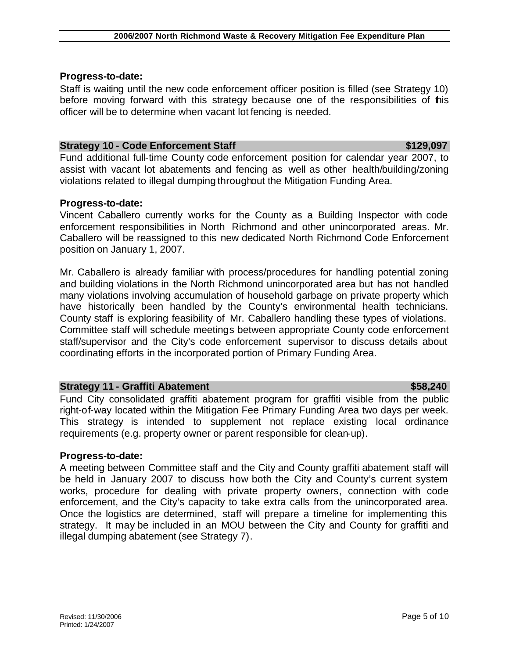### **Progress-to-date:**

Staff is waiting until the new code enforcement officer position is filled (see Strategy 10) before moving forward with this strategy because one of the responsibilities of this officer will be to determine when vacant lot fencing is needed.

# **Strategy 10 - Code Enforcement Staff \$129,097**

Fund additional full-time County code enforcement position for calendar year 2007, to assist with vacant lot abatements and fencing as well as other health/building/zoning violations related to illegal dumping throughout the Mitigation Funding Area.

# **Progress-to-date:**

Vincent Caballero currently works for the County as a Building Inspector with code enforcement responsibilities in North Richmond and other unincorporated areas. Mr. Caballero will be reassigned to this new dedicated North Richmond Code Enforcement position on January 1, 2007.

Mr. Caballero is already familiar with process/procedures for handling potential zoning and building violations in the North Richmond unincorporated area but has not handled many violations involving accumulation of household garbage on private property which have historically been handled by the County's environmental health technicians. County staff is exploring feasibility of Mr. Caballero handling these types of violations. Committee staff will schedule meetings between appropriate County code enforcement staff/supervisor and the City's code enforcement supervisor to discuss details about coordinating efforts in the incorporated portion of Primary Funding Area.

# **Strategy 11 - Graffiti Abatement** \$58,240

Fund City consolidated graffiti abatement program for graffiti visible from the public right-of-way located within the Mitigation Fee Primary Funding Area two days per week. This strategy is intended to supplement not replace existing local ordinance requirements (e.g. property owner or parent responsible for clean-up).

# **Progress-to-date:**

A meeting between Committee staff and the City and County graffiti abatement staff will be held in January 2007 to discuss how both the City and County's current system works, procedure for dealing with private property owners, connection with code enforcement, and the City's capacity to take extra calls from the unincorporated area. Once the logistics are determined, staff will prepare a timeline for implementing this strategy. It may be included in an MOU between the City and County for graffiti and illegal dumping abatement (see Strategy 7).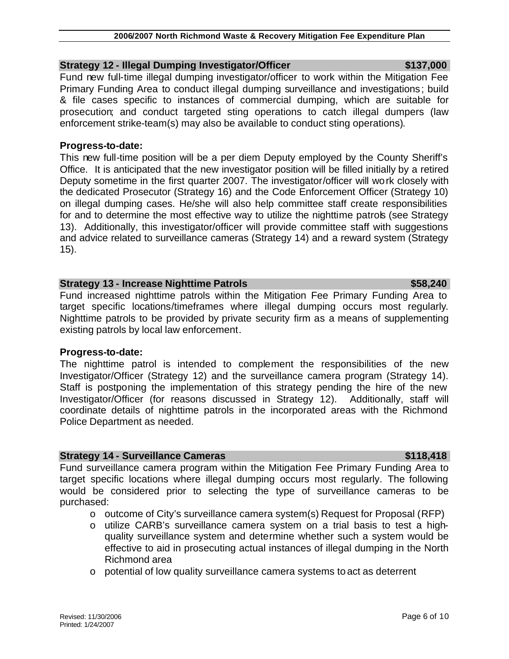### **2006/2007 North Richmond Waste & Recovery Mitigation Fee Expenditure Plan**

# **Strategy 12 - Illegal Dumping Investigator/Officer \$137,000 \$137,000**

Fund new full-time illegal dumping investigator/officer to work within the Mitigation Fee Primary Funding Area to conduct illegal dumping surveillance and investigations; build & file cases specific to instances of commercial dumping, which are suitable for prosecution; and conduct targeted sting operations to catch illegal dumpers (law enforcement strike-team(s) may also be available to conduct sting operations).

# **Progress-to-date:**

This new full-time position will be a per diem Deputy employed by the County Sheriff's Office. It is anticipated that the new investigator position will be filled initially by a retired Deputy sometime in the first quarter 2007. The investigator/officer will work closely with the dedicated Prosecutor (Strategy 16) and the Code Enforcement Officer (Strategy 10) on illegal dumping cases. He/she will also help committee staff create responsibilities for and to determine the most effective way to utilize the nighttime patrols (see Strategy 13). Additionally, this investigator/officer will provide committee staff with suggestions and advice related to surveillance cameras (Strategy 14) and a reward system (Strategy 15).

# **Strategy 13 - Increase Nighttime Patrols \$58,240 \$58,240**

Fund increased nighttime patrols within the Mitigation Fee Primary Funding Area to target specific locations/timeframes where illegal dumping occurs most regularly. Nighttime patrols to be provided by private security firm as a means of supplementing existing patrols by local law enforcement.

# **Progress-to-date:**

The nighttime patrol is intended to complement the responsibilities of the new Investigator/Officer (Strategy 12) and the surveillance camera program (Strategy 14). Staff is postponing the implementation of this strategy pending the hire of the new Investigator/Officer (for reasons discussed in Strategy 12). Additionally, staff will coordinate details of nighttime patrols in the incorporated areas with the Richmond Police Department as needed.

# **Strategy 14 - Surveillance Cameras <b>\$118,418** \$118,418

Fund surveillance camera program within the Mitigation Fee Primary Funding Area to target specific locations where illegal dumping occurs most regularly. The following would be considered prior to selecting the type of surveillance cameras to be purchased:

- $\circ$  outcome of City's surveillance camera system(s) Request for Proposal (RFP)
- o utilize CARB's surveillance camera system on a trial basis to test a highquality surveillance system and determine whether such a system would be effective to aid in prosecuting actual instances of illegal dumping in the North Richmond area
- o potential of low quality surveillance camera systems to act as deterrent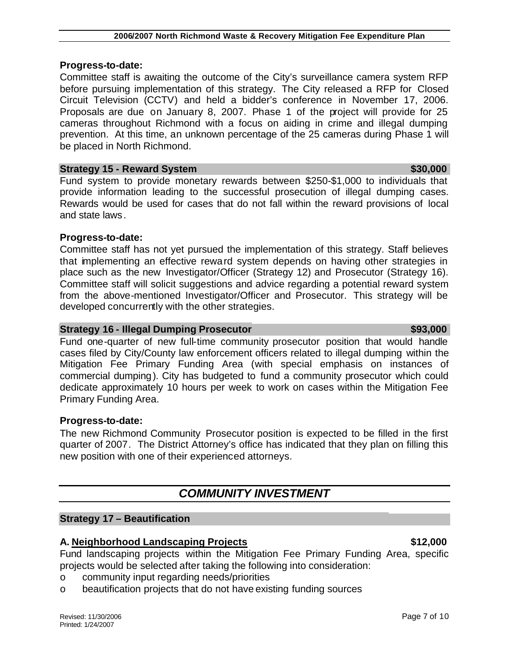### **Progress-to-date:**

Committee staff is awaiting the outcome of the City's surveillance camera system RFP before pursuing implementation of this strategy. The City released a RFP for Closed Circuit Television (CCTV) and held a bidder's conference in November 17, 2006. Proposals are due on January 8, 2007. Phase 1 of the project will provide for 25 cameras throughout Richmond with a focus on aiding in crime and illegal dumping prevention. At this time, an unknown percentage of the 25 cameras during Phase 1 will be placed in North Richmond.

### **Strategy 15 - Reward System \$30,000 \$30,000 \$30,000 \$30,000 \$30,000 \$30,000 \$30,000 \$30.000 \$30.000 \$30.000 \$50.000 \$50.000 \$50.000 \$50.000 \$50.000 \$50.000 \$50.000 \$50.000 \$50.000 \$50.000 \$50.000 \$50.000 \$50.000 \$50.000 \$**

Fund system to provide monetary rewards between \$250-\$1,000 to individuals that provide information leading to the successful prosecution of illegal dumping cases. Rewards would be used for cases that do not fall within the reward provisions of local and state laws.

### **Progress-to-date:**

Committee staff has not yet pursued the implementation of this strategy. Staff believes that implementing an effective reward system depends on having other strategies in place such as the new Investigator/Officer (Strategy 12) and Prosecutor (Strategy 16). Committee staff will solicit suggestions and advice regarding a potential reward system from the above-mentioned Investigator/Officer and Prosecutor. This strategy will be developed concurrently with the other strategies.

### **Strategy 16 - Illegal Dumping Prosecutor \$93,000 \$93,000**

Fund one-quarter of new full-time community prosecutor position that would handle cases filed by City/County law enforcement officers related to illegal dumping within the Mitigation Fee Primary Funding Area (with special emphasis on instances of commercial dumping). City has budgeted to fund a community prosecutor which could dedicate approximately 10 hours per week to work on cases within the Mitigation Fee Primary Funding Area.

### **Progress-to-date:**

The new Richmond Community Prosecutor position is expected to be filled in the first quarter of 2007. The District Attorney's office has indicated that they plan on filling this new position with one of their experienced attorneys.

# *COMMUNITY INVESTMENT*

### **Strategy 17 – Beautification**

# **A. Neighborhood Landscaping Projects \$12,000**

Fund landscaping projects within the Mitigation Fee Primary Funding Area, specific projects would be selected after taking the following into consideration:

- o community input regarding needs/priorities
- o beautification projects that do not have existing funding sources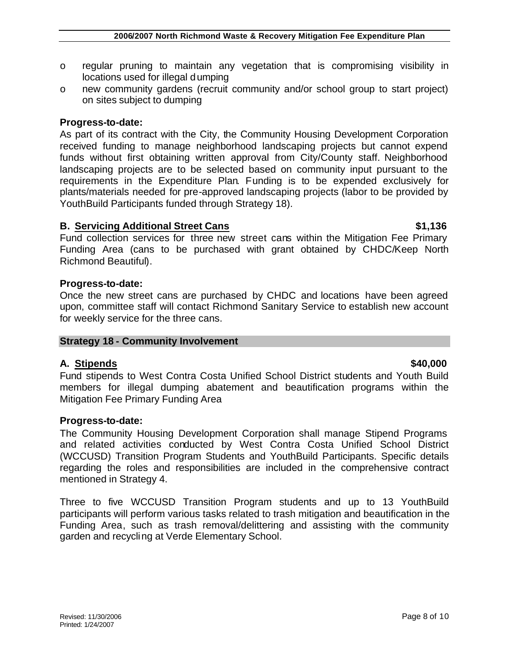- o regular pruning to maintain any vegetation that is compromising visibility in locations used for illegal dumping
- o new community gardens (recruit community and/or school group to start project) on sites subject to dumping

# **Progress-to-date:**

As part of its contract with the City, the Community Housing Development Corporation received funding to manage neighborhood landscaping projects but cannot expend funds without first obtaining written approval from City/County staff. Neighborhood landscaping projects are to be selected based on community input pursuant to the requirements in the Expenditure Plan. Funding is to be expended exclusively for plants/materials needed for pre-approved landscaping projects (labor to be provided by YouthBuild Participants funded through Strategy 18).

# **B.** Servicing Additional Street Cans **\$1,136 \$1,136**

Fund collection services for three new street cans within the Mitigation Fee Primary Funding Area (cans to be purchased with grant obtained by CHDC/Keep North Richmond Beautiful).

# **Progress-to-date:**

Once the new street cans are purchased by CHDC and locations have been agreed upon, committee staff will contact Richmond Sanitary Service to establish new account for weekly service for the three cans.

### **Strategy 18 - Community Involvement**

# **A. Stipends \$40,000**

Fund stipends to West Contra Costa Unified School District students and Youth Build members for illegal dumping abatement and beautification programs within the Mitigation Fee Primary Funding Area

# **Progress-to-date:**

The Community Housing Development Corporation shall manage Stipend Programs and related activities conducted by West Contra Costa Unified School District (WCCUSD) Transition Program Students and YouthBuild Participants. Specific details regarding the roles and responsibilities are included in the comprehensive contract mentioned in Strategy 4.

Three to five WCCUSD Transition Program students and up to 13 YouthBuild participants will perform various tasks related to trash mitigation and beautification in the Funding Area, such as trash removal/delittering and assisting with the community garden and recycling at Verde Elementary School.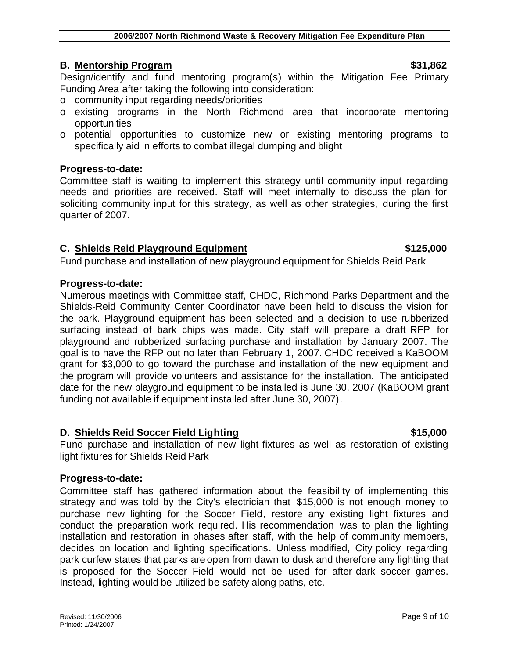# **B.** Mentorship Program  $\sim$  \$31,862

Design/identify and fund mentoring program(s) within the Mitigation Fee Primary Funding Area after taking the following into consideration:

- o community input regarding needs/priorities
- o existing programs in the North Richmond area that incorporate mentoring opportunities
- o potential opportunities to customize new or existing mentoring programs to specifically aid in efforts to combat illegal dumping and blight

# **Progress-to-date:**

Committee staff is waiting to implement this strategy until community input regarding needs and priorities are received. Staff will meet internally to discuss the plan for soliciting community input for this strategy, as well as other strategies, during the first quarter of 2007.

# **C. Shields Reid Playground Equipment**  $$125,000$

Fund purchase and installation of new playground equipment for Shields Reid Park

### **Progress-to-date:**

Numerous meetings with Committee staff, CHDC, Richmond Parks Department and the Shields-Reid Community Center Coordinator have been held to discuss the vision for the park. Playground equipment has been selected and a decision to use rubberized surfacing instead of bark chips was made. City staff will prepare a draft RFP for playground and rubberized surfacing purchase and installation by January 2007. The goal is to have the RFP out no later than February 1, 2007. CHDC received a KaBOOM grant for \$3,000 to go toward the purchase and installation of the new equipment and the program will provide volunteers and assistance for the installation. The anticipated date for the new playground equipment to be installed is June 30, 2007 (KaBOOM grant funding not available if equipment installed after June 30, 2007).

# **D.** Shields Reid Soccer Field Lighting **\$15,000** \$15,000

# Fund purchase and installation of new light fixtures as well as restoration of existing light fixtures for Shields Reid Park

# **Progress-to-date:**

Committee staff has gathered information about the feasibility of implementing this strategy and was told by the City's electrician that \$15,000 is not enough money to purchase new lighting for the Soccer Field, restore any existing light fixtures and conduct the preparation work required. His recommendation was to plan the lighting installation and restoration in phases after staff, with the help of community members, decides on location and lighting specifications. Unless modified, City policy regarding park curfew states that parks are open from dawn to dusk and therefore any lighting that is proposed for the Soccer Field would not be used for after-dark soccer games. Instead, lighting would be utilized be safety along paths, etc.